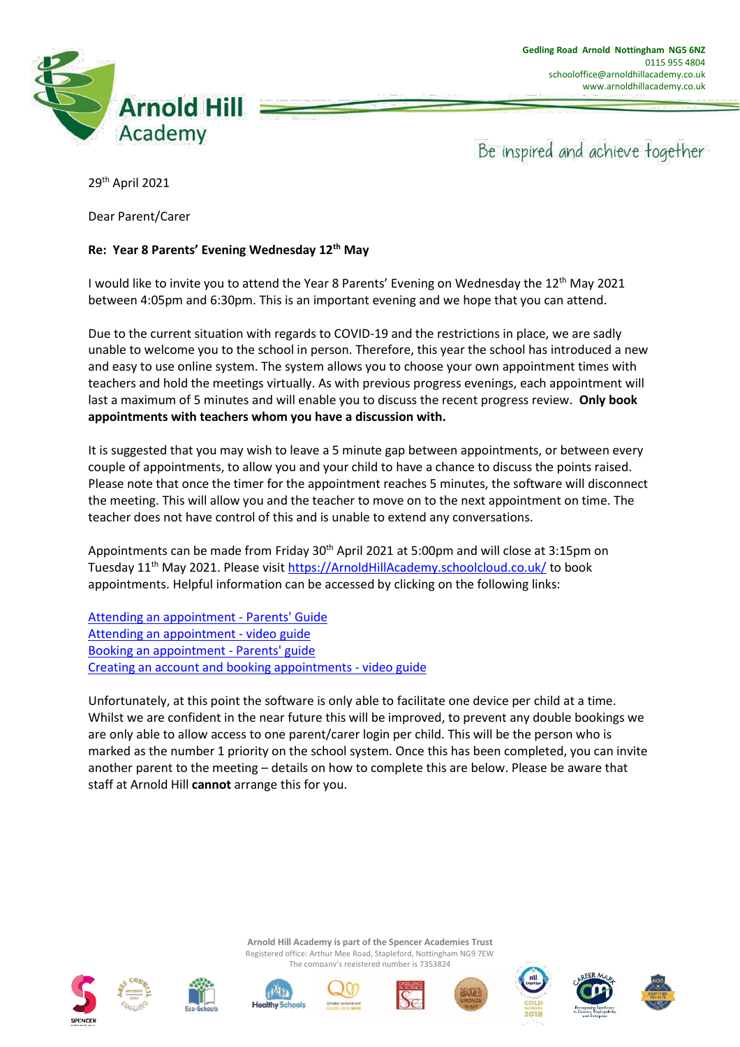

Be inspired and achieve together

29th April 2021

Dear Parent/Carer

## **Re: Year 8 Parents' Evening Wednesday 12th May**

I would like to invite you to attend the Year 8 Parents' Evening on Wednesday the 12<sup>th</sup> May 2021 between 4:05pm and 6:30pm. This is an important evening and we hope that you can attend.

Due to the current situation with regards to COVID-19 and the restrictions in place, we are sadly unable to welcome you to the school in person. Therefore, this year the school has introduced a new and easy to use online system. The system allows you to choose your own appointment times with teachers and hold the meetings virtually. As with previous progress evenings, each appointment will last a maximum of 5 minutes and will enable you to discuss the recent progress review. **Only book appointments with teachers whom you have a discussion with.**

It is suggested that you may wish to leave a 5 minute gap between appointments, or between every couple of appointments, to allow you and your child to have a chance to discuss the points raised. Please note that once the timer for the appointment reaches 5 minutes, the software will disconnect the meeting. This will allow you and the teacher to move on to the next appointment on time. The teacher does not have control of this and is unable to extend any conversations.

Appointments can be made from Friday 30<sup>th</sup> April 2021 at 5:00pm and will close at 3:15pm on Tuesday 11<sup>th</sup> May 2021. Please visi[t https://ArnoldHillAcademy.schoolcloud.co.uk/](https://arnoldhillacademy.schoolcloud.co.uk/) to book appointments. Helpful information can be accessed by clicking on the following links:

[Attending an appointment -](https://drive.google.com/file/d/1-R_htWdHunxclUEE_tZmuKxKiy0v6JtM/view?usp=sharing) Parents' Guide [Attending an appointment -](https://drive.google.com/file/d/10RRJOplKrd8kx88kZxSlEgCApFigWrEp/view?usp=sharing) video guide [Booking an appointment -](https://drive.google.com/file/d/1FghFJf-0bfJsuvSKChU8ynf-DV_3vvdT/view?usp=sharing) Parents' guide [Creating an account and booking appointments -](https://drive.google.com/file/d/1g_YsFpn7jDF03E-OkjsWH3jK5ZxSLV7V/view?usp=sharing) video guide

Unfortunately, at this point the software is only able to facilitate one device per child at a time. Whilst we are confident in the near future this will be improved, to prevent any double bookings we are only able to allow access to one parent/carer login per child. This will be the person who is marked as the number 1 priority on the school system. Once this has been completed, you can invite another parent to the meeting – details on how to complete this are below. Please be aware that staff at Arnold Hill **cannot** arrange this for you.









**Arnold Hill Academy is part of the Spencer Academies Trust** Registered office: Arthur Mee Road, Stapleford, Nottingham NG9 7EW The company's registered number is 7353824